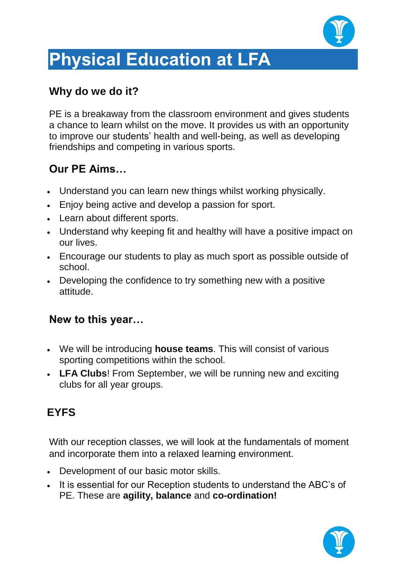

# **Physical Education at LFA**

#### **Why do we do it?**

PE is a breakaway from the classroom environment and gives students a chance to learn whilst on the move. It provides us with an opportunity to improve our students' health and well-being, as well as developing friendships and competing in various sports.

#### **Our PE Aims…**

- Understand you can learn new things whilst working physically.
- Enjoy being active and develop a passion for sport.
- Learn about different sports.
- Understand why keeping fit and healthy will have a positive impact on our lives.
- Encourage our students to play as much sport as possible outside of school.
- Developing the confidence to try something new with a positive attitude.

#### **New to this year…**

- We will be introducing **house teams**. This will consist of various sporting competitions within the school.
- **LFA Clubs**! From September, we will be running new and exciting clubs for all year groups.

## **EYFS**

With our reception classes, we will look at the fundamentals of moment and incorporate them into a relaxed learning environment.

- Development of our basic motor skills.
- It is essential for our Reception students to understand the ABC's of PE. These are **agility, balance** and **co-ordination!**